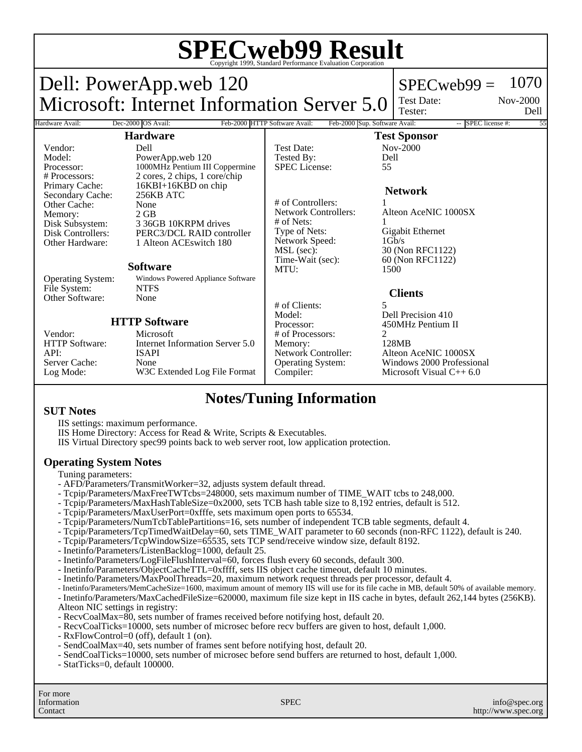# **SPECweb99 Result** Copyright 1999, Standard Performance Evaluation Corporation

Dell: PowerApp.web 120 Microsoft: Internet Information Server 5.0  $SPECweb99 = 1070$ Test Date: Tester: Nov-2000 Dell Hardware Avail: Dec-2000 OS Avail: Feb-2000 HTTP Software Avail: Feb-2000 Sup. Software Avail: -- SPEC license #: **Hardware** Vendor: Dell<br>Model: Powe Model: PowerApp.web 120<br>Processor: 1000MHz Pentium III Processor: 1000MHz Pentium III Coppermine<br>
# Processors: 2 cores. 2 chips. 1 core/chip 2 cores, 2 chips, 1 core/chip Primary Cache: 16KBI+16KBD on chip<br>Secondary Cache: 256KB ATC Secondary Cache: Other Cache: None<br>
Memory: 2 GB Memory:<br>Disk Subsystem: Disk Subsystem: 3 36GB 10KRPM drives<br>Disk Controllers: PERC3/DCL RAID contr PERC3/DCL RAID controller Other Hardware: 1 Alteon ACEswitch 180 **Software** Operating System: Windows Powered Appliance Software File System: NTFS<br>Other Software: None Other Software: **HTTP Software** Vendor: Microsoft<br>HTTP Software: Internet In Internet Information Server 5.0 API: ISAPI Server Cache: None<br>
Log Mode: W3C W3C Extended Log File Format **Test Sponsor** Test Date: Nov-2000<br>Tested By: Dell Tested By: De<br>SPEC License: 55 SPEC License: **Network** # of Controllers:<br>Network Controllers: Alteon AceNIC 1000SX # of Nets: 1 Type of Nets: Gigabit Ethernet<br>Network Speed: 1Gb/s Network Speed:<br>MSL (sec): MSL (sec): 30 (Non RFC1122)<br>Time-Wait (sec): 60 (Non RFC1122) 60 (Non RFC1122) MTU: 1500 **Clients** # of Clients: 5 Model: Dell Precision 410<br>Processor: 450MHz Pentium 1 450MHz Pentium II # of Processors: 2<br>Memory: 2128MB Memory:<br>Network Controller: Alteon AceNIC 1000SX Operating System: Windows 2000 Professional Compiler: Microsoft Visual C++ 6.0

## **Notes/Tuning Information**

#### **SUT Notes**

IIS settings: maximum performance.

IIS Home Directory: Access for Read & Write, Scripts & Executables.

IIS Virtual Directory spec99 points back to web server root, low application protection.

### **Operating System Notes**

Tuning parameters:

- AFD/Parameters/TransmitWorker=32, adjusts system default thread.
- Tcpip/Parameters/MaxFreeTWTcbs=248000, sets maximum number of TIME\_WAIT tcbs to 248,000.
- Tcpip/Parameters/MaxHashTableSize=0x2000, sets TCB hash table size to 8,192 entries, default is 512.
- Tcpip/Parameters/MaxUserPort=0xfffe, sets maximum open ports to 65534.
- Tcpip/Parameters/NumTcbTablePartitions=16, sets number of independent TCB table segments, default 4.
- Tcpip/Parameters/TcpTimedWaitDelay=60, sets TIME\_WAIT parameter to 60 seconds (non-RFC 1122), default is 240.
- Tcpip/Parameters/TcpWindowSize=65535, sets TCP send/receive window size, default 8192.
- Inetinfo/Parameters/ListenBacklog=1000, default 25.
- Inetinfo/Parameters/LogFileFlushInterval=60, forces flush every 60 seconds, default 300.
- Inetinfo/Parameters/ObjectCacheTTL=0xffff, sets IIS object cache timeout, default 10 minutes.
- Inetinfo/Parameters/MaxPoolThreads=20, maximum network request threads per processor, default 4.
- Inetinfo/Parameters/MemCacheSize=1600, maximum amount of memory IIS will use for its file cache in MB, default 50% of available memory.

- Inetinfo/Parameters/MaxCachedFileSize=620000, maximum file size kept in IIS cache in bytes, default 262,144 bytes (256KB). Alteon NIC settings in registry:

- RecvCoalMax=80, sets number of frames received before notifying host, default 20.
- RecvCoalTicks=10000, sets number of microsec before recv buffers are given to host, default 1,000.
- RxFlowControl=0 (off), default 1 (on).
- SendCoalMax=40, sets number of frames sent before notifying host, default 20.
- SendCoalTicks=10000, sets number of microsec before send buffers are returned to host, default 1,000.
- StatTicks=0, default 100000.

For more Information Contact